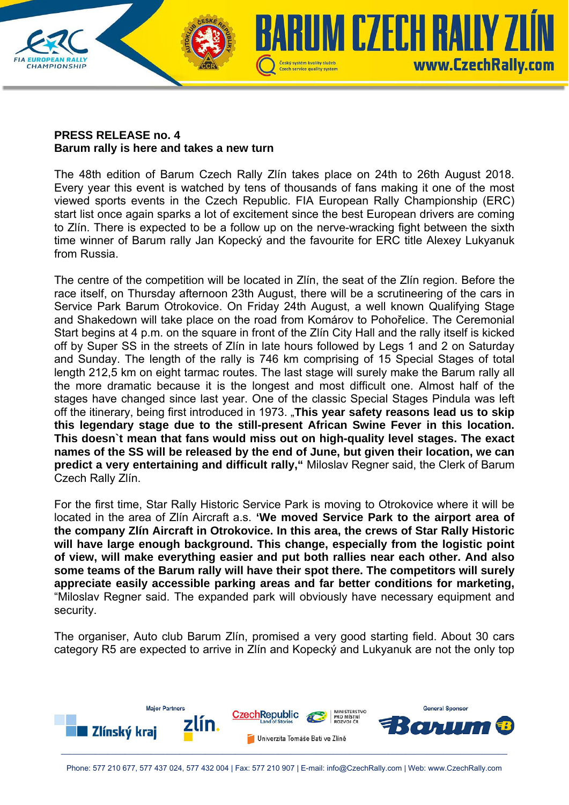

## **PRESS RELEASE no. 4 Barum rally is here and takes a new turn**

The 48th edition of Barum Czech Rally Zlín takes place on 24th to 26th August 2018. Every year this event is watched by tens of thousands of fans making it one of the most viewed sports events in the Czech Republic. FIA European Rally Championship (ERC) start list once again sparks a lot of excitement since the best European drivers are coming to Zlín. There is expected to be a follow up on the nerve-wracking fight between the sixth time winner of Barum rally Jan Kopecký and the favourite for ERC title Alexey Lukyanuk from Russia.

The centre of the competition will be located in Zlín, the seat of the Zlín region. Before the race itself, on Thursday afternoon 23th August, there will be a scrutineering of the cars in Service Park Barum Otrokovice. On Friday 24th August, a well known Qualifying Stage and Shakedown will take place on the road from Komárov to Pohořelice. The Ceremonial Start begins at 4 p.m. on the square in front of the Zlín City Hall and the rally itself is kicked off by Super SS in the streets of Zlín in late hours followed by Legs 1 and 2 on Saturday and Sunday. The length of the rally is 746 km comprising of 15 Special Stages of total length 212,5 km on eight tarmac routes. The last stage will surely make the Barum rally all the more dramatic because it is the longest and most difficult one. Almost half of the stages have changed since last year. One of the classic Special Stages Pindula was left off the itinerary, being first introduced in 1973. "**This year safety reasons lead us to skip this legendary stage due to the still-present African Swine Fever in this location. This doesn`t mean that fans would miss out on high-quality level stages. The exact names of the SS will be released by the end of June, but given their location, we can predict a very entertaining and difficult rally,"** Miloslav Regner said, the Clerk of Barum Czech Rally Zlín.

For the first time, Star Rally Historic Service Park is moving to Otrokovice where it will be located in the area of Zlín Aircraft a.s. **'We moved Service Park to the airport area of the company Zlín Aircraft in Otrokovice. In this area, the crews of Star Rally Historic will have large enough background. This change, especially from the logistic point of view, will make everything easier and put both rallies near each other. And also some teams of the Barum rally will have their spot there. The competitors will surely appreciate easily accessible parking areas and far better conditions for marketing,**  "Miloslav Regner said. The expanded park will obviously have necessary equipment and security.

The organiser, Auto club Barum Zlín, promised a very good starting field. About 30 cars category R5 are expected to arrive in Zlín and Kopecký and Lukyanuk are not the only top